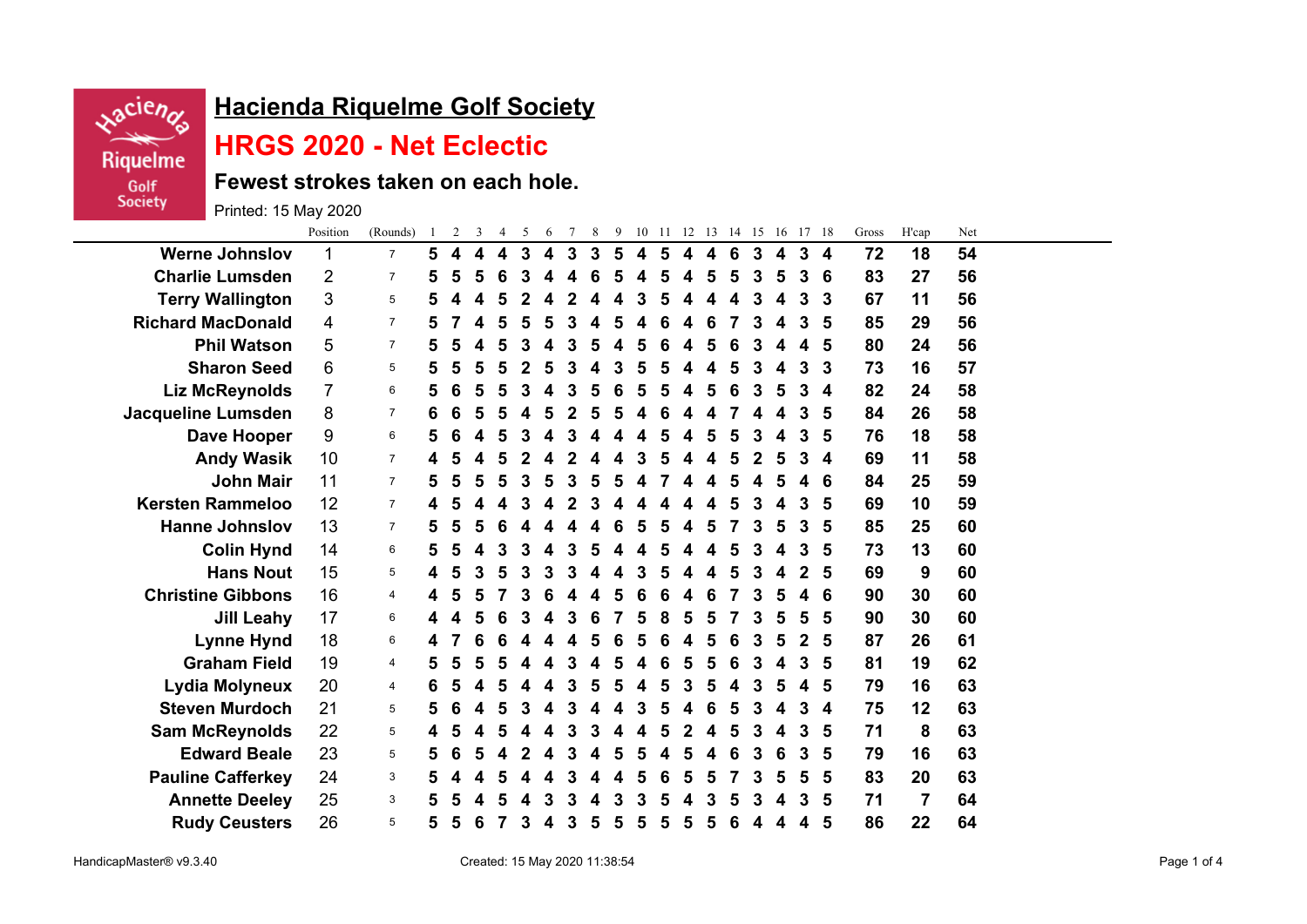

## **Hacienda Riquelme Golf Society**

## **HRGS 2020 - Net Eclectic**

**Fewest strokes taken on each hole.**

Printed: 15 May 2020

|                           | Position       | (Rounds)       | $\mathbf{1}$ | 2                | 3 | $\overline{4}$         | 5 | 6 | $7\phantom{.0}$ | 8 | 9 |   |   |   |   | 10 11 12 13 14 15 16 17 18 |              |                  |              |                  | Gross | H'cap          | Net |  |
|---------------------------|----------------|----------------|--------------|------------------|---|------------------------|---|---|-----------------|---|---|---|---|---|---|----------------------------|--------------|------------------|--------------|------------------|-------|----------------|-----|--|
| <b>Werne Johnslov</b>     | 1              | $\overline{7}$ | 5.           | $\blacktriangle$ | 4 | $\boldsymbol{\Lambda}$ | 3 | 4 | 3               | 3 | 5 | 4 | 5 | 4 | 4 | 6                          | $\mathbf{3}$ | $\boldsymbol{4}$ | $\mathbf{3}$ | $\boldsymbol{4}$ | 72    | 18             | 54  |  |
| <b>Charlie Lumsden</b>    | $\overline{2}$ | $\overline{7}$ | 5            | 5                | 5 | 6                      | 3 |   |                 | 6 | 5 | 4 |   | 4 | 5 | 5                          | 3            | 5                | 3            | 6                | 83    | 27             | 56  |  |
| <b>Terry Wallington</b>   | 3              | 5              | 5            | 4                | 4 | 5                      |   |   |                 |   |   | 3 |   | 4 | 4 | 4                          |              | 4                | 3            | 3                | 67    | 11             | 56  |  |
| <b>Richard MacDonald</b>  | 4              | $\overline{7}$ | 5            |                  | 4 | 5                      | 5 | 5 |                 |   |   |   |   | 4 | 6 |                            |              | 4                | 3            | 5                | 85    | 29             | 56  |  |
| <b>Phil Watson</b>        | 5              | 7              | 5            | 5                |   | 5                      | 3 |   |                 |   |   |   |   |   |   | 6                          |              |                  | 4            | 5                | 80    | 24             | 56  |  |
| <b>Sharon Seed</b>        | 6              | 5              | 5            |                  |   |                        |   |   |                 |   |   |   |   |   |   |                            |              |                  | 3            | 3                | 73    | 16             | 57  |  |
| <b>Liz McReynolds</b>     | $\overline{7}$ | 6              | 5            | 6                | 5 | 5                      | 3 |   | 3               | 5 | 6 |   |   | Δ | 5 | 6                          | З            | 5                | 3            | 4                | 82    | 24             | 58  |  |
| <b>Jacqueline Lumsden</b> | 8              | $\overline{7}$ | 6            | 6                | 5 | 5                      |   | 5 |                 |   |   |   |   | 4 |   |                            |              | 4                | 3            | 5                | 84    | 26             | 58  |  |
| Dave Hooper               | 9              | 6              | 5            | 6                |   | 5                      | 3 |   |                 |   |   |   |   | 4 | 5 | 5                          |              |                  | 3            | 5                | 76    | 18             | 58  |  |
| <b>Andy Wasik</b>         | 10             | 7              | 4            | 5                | 4 | 5                      |   |   |                 |   |   |   |   |   |   | 5                          | 2            | 5                | 3            | 4                | 69    | 11             | 58  |  |
| <b>John Mair</b>          | 11             | $\overline{7}$ | 5            | 5                |   |                        | 3 |   |                 |   |   |   |   |   |   |                            |              |                  |              | 6                | 84    | 25             | 59  |  |
| <b>Kersten Rammeloo</b>   | 12             | $\overline{7}$ | 4            | 5                |   |                        | 3 |   |                 | 3 |   |   |   | 4 |   | 5                          |              |                  | 3            | 5                | 69    | 10             | 59  |  |
| <b>Hanne Johnslov</b>     | 13             | $\overline{7}$ | 5            | 5                | 5 | 6                      |   |   |                 |   |   |   |   | 4 | 5 |                            |              | 5                | 3            | 5                | 85    | 25             | 60  |  |
| <b>Colin Hynd</b>         | 14             | 6              | 5            | 5                |   | 3                      | 3 |   |                 |   |   |   |   | 4 |   | 5                          |              |                  | 3            | 5                | 73    | 13             | 60  |  |
| <b>Hans Nout</b>          | 15             | 5              | 4            | 5                | 3 | 5                      | 3 | 3 |                 |   |   |   |   |   |   | 5                          |              | 4                | $\mathbf{2}$ | 5                | 69    | 9              | 60  |  |
| <b>Christine Gibbons</b>  | 16             | 4              | 4            |                  |   |                        |   |   |                 |   |   |   |   |   |   |                            |              |                  |              | 6                | 90    | 30             | 60  |  |
| <b>Jill Leahy</b>         | 17             | 6              | 4            |                  | 5 | 6                      | 3 | 4 | 3               | 6 |   | 5 | 8 | 5 | 5 |                            | З            | 5                | 5            | 5                | 90    | 30             | 60  |  |
| <b>Lynne Hynd</b>         | 18             | 6              | 4            |                  | 6 |                        |   |   |                 |   |   |   |   |   | 5 | 6                          |              | 5                | 2            | 5                | 87    | 26             | 61  |  |
| <b>Graham Field</b>       | 19             | 4              | 5            | 5                | 5 |                        |   |   |                 |   |   |   |   | 5 | 5 | 6                          |              | 4                | 3            | 5                | 81    | 19             | 62  |  |
| Lydia Molyneux            | 20             | 4              | 6            |                  |   |                        |   |   |                 |   |   |   |   | 3 |   |                            |              | 5                | 4            | 5                | 79    | 16             | 63  |  |
| <b>Steven Murdoch</b>     | 21             | 5              | 5            | 6                |   | 5                      | 3 |   |                 |   |   |   |   |   |   | 5                          |              |                  | 3            | 4                | 75    | 12             | 63  |  |
| <b>Sam McReynolds</b>     | 22             | 5              | 4            | 5                | 4 | 5                      |   |   | 3               | 3 |   | Δ |   | 2 | 4 | 5                          | 3            | 4                | 3            | 5                | 71    | 8              | 63  |  |
| <b>Edward Beale</b>       | 23             | 5              | 5            | 6                | 5 |                        |   |   |                 |   |   |   |   | 5 | 4 | 6                          |              | 6                | 3            | 5                | 79    | 16             | 63  |  |
| <b>Pauline Cafferkey</b>  | 24             | 3              | 5            |                  |   | 5                      |   |   |                 |   |   | 5 |   | 5 | 5 |                            |              | 5                | 5            | 5                | 83    | 20             | 63  |  |
| <b>Annette Deeley</b>     | 25             | 3              | 5            |                  |   |                        |   | 3 |                 |   |   |   |   |   |   | 5                          |              |                  | 3            | 5                | 71    | $\overline{7}$ | 64  |  |
| <b>Rudy Ceusters</b>      | 26             | 5              | 5            | 5                | 6 |                        | 3 |   | 3               | 5 | 5 | 5 | 5 | 5 | 5 | 6                          | 4            | 4                | 4            | 5                | 86    | 22             | 64  |  |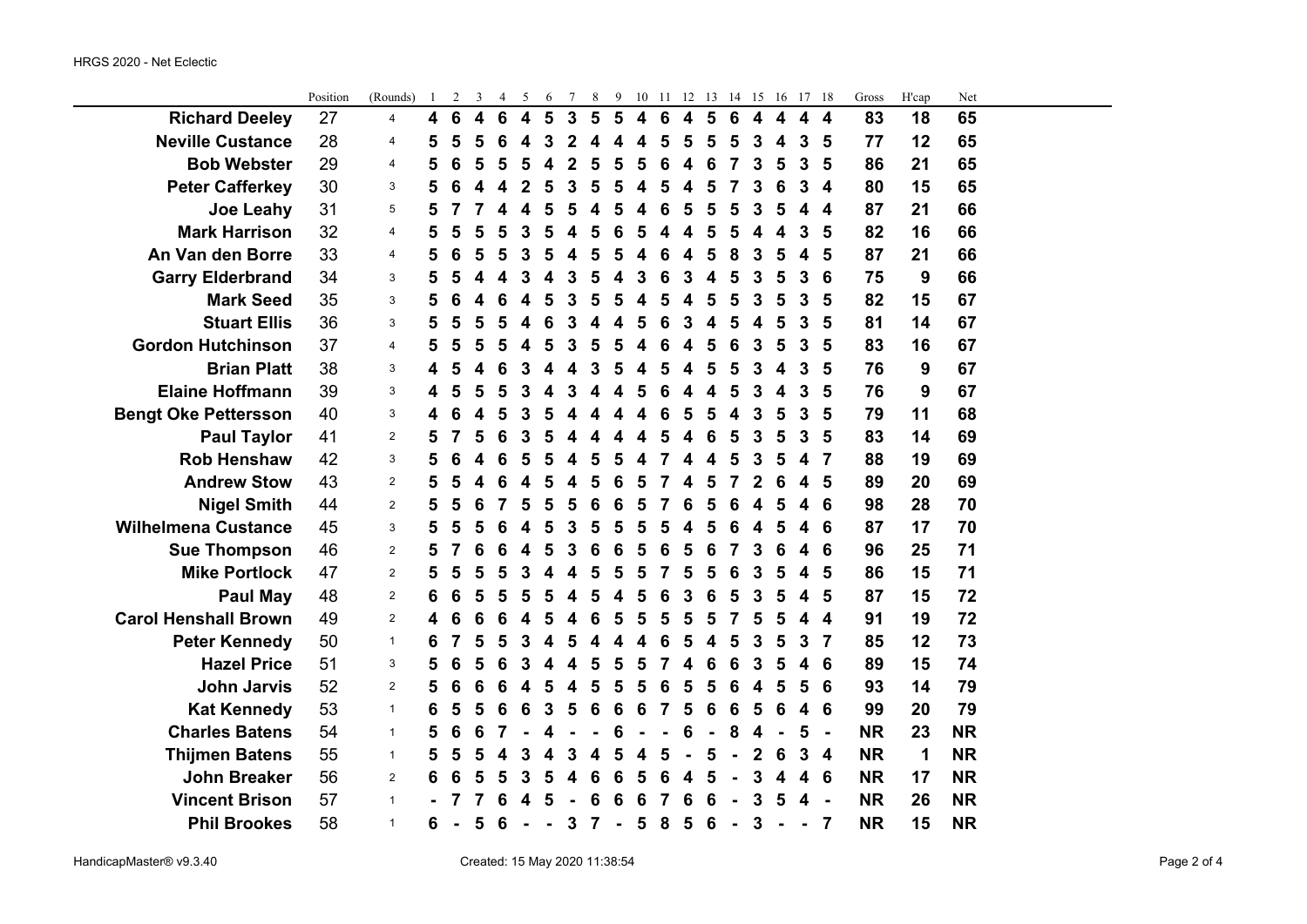|                             | Position | (Rounds)                  | $\perp$ | 2 | 3 | 4 | $\mathcal{L}$    | $\epsilon$     | Τ              | 8                       | 9              | 10                      | $\pm$           | 12 | 13 | 14              | 15             | 16 | T/                      | -18              | Gross     | H'cap | Net       |  |
|-----------------------------|----------|---------------------------|---------|---|---|---|------------------|----------------|----------------|-------------------------|----------------|-------------------------|-----------------|----|----|-----------------|----------------|----|-------------------------|------------------|-----------|-------|-----------|--|
| <b>Richard Deeley</b>       | 27       | $\overline{4}$            | 4       | 6 | 4 | 6 | $\boldsymbol{4}$ | 5              | $\mathbf{3}$   | 5                       | 5              | $\overline{\mathbf{4}}$ | $6\phantom{1}6$ | 4  | 5  | 6               | 4              | 4  | 4                       | 4                | 83        | 18    | 65        |  |
| <b>Neville Custance</b>     | 28       | 4                         | 5       | 5 | 5 | 6 | 4                | 3              | $\overline{2}$ | 4                       | 4              | 4                       | 5               | 5  | 5  | 5               | 3              | 4  | 3                       | 5                | 77        | 12    | 65        |  |
| <b>Bob Webster</b>          | 29       | $\overline{4}$            | 5       | 6 | 5 | 5 | 5                | 4              | $\mathbf 2$    | 5                       | 5              | 5                       | 6               | 4  | 6  | 7               | 3              | 5  | 3                       | 5                | 86        | 21    | 65        |  |
| <b>Peter Cafferkey</b>      | 30       | 3                         | 5       | 6 | 4 | 4 | $\mathbf{2}$     | 5              | 3              | 5                       | 5              | 4                       | 5               | 4  | 5  | 7               | 3              | 6  | 3                       | 4                | 80        | 15    | 65        |  |
| Joe Leahy                   | 31       | 5                         | 5       | 7 | 7 | 4 | 4                | 5              | 5              | 4                       | 5              | 4                       | 6               | 5  | 5  | 5               | 3              | 5  | 4                       | 4                | 87        | 21    | 66        |  |
| <b>Mark Harrison</b>        | 32       | $\overline{4}$            | 5       | 5 | 5 | 5 | 3                | 5              | 4              | 5                       | 6              | 5                       | 4               | 4  | 5  | 5               | 4              | 4  | 3                       | 5                | 82        | 16    | 66        |  |
| An Van den Borre            | 33       | $\overline{4}$            | 5       | 6 | 5 | 5 | 3                | 5              | 4              | 5                       | 5              | 4                       | 6               | 4  | 5  | 8               | 3              | 5  | 4                       | 5                | 87        | 21    | 66        |  |
| <b>Garry Elderbrand</b>     | 34       | 3                         | 5       | 5 | 4 | 4 | 3                | 4              | 3              | 5                       | 4              | 3                       | 6               | 3  |    | 5               | 3              | 5  | 3                       | 6                | 75        | 9     | 66        |  |
| <b>Mark Seed</b>            | 35       | 3                         | 5       | 6 | 4 | 6 | 4                | 5              | 3              | 5                       | 5              | 4                       | 5               | 4  | 5  | 5               | 3              | 5  | 3                       | 5                | 82        | 15    | 67        |  |
| <b>Stuart Ellis</b>         | 36       | 3                         | 5       | 5 | 5 | 5 | 4                | 6              | 3              | 4                       | 4              | 5                       | 6               | 3  | 4  | 5               | 4              | 5  | 3                       | 5                | 81        | 14    | 67        |  |
| <b>Gordon Hutchinson</b>    | 37       | $\overline{4}$            | 5       | 5 | 5 | 5 | 4                | 5              | 3              | 5                       | 5              | 4                       | 6               | 4  | 5  | 6               | 3              | 5  | 3                       | 5                | 83        | 16    | 67        |  |
| <b>Brian Platt</b>          | 38       | 3                         | 4       | 5 | 4 | 6 | 3                | 4              | 4              | 3                       | 5              | 4                       | 5               | 4  | 5  | 5               | 3              | 4  | 3                       | 5                | 76        | 9     | 67        |  |
| <b>Elaine Hoffmann</b>      | 39       | 3                         | 4       | 5 | 5 | 5 | 3                | 4              | 3              | $\overline{\mathbf{4}}$ | 4              | 5                       | 6               | 4  | 4  | 5               | 3              | 4  | 3                       | 5                | 76        | 9     | 67        |  |
| <b>Bengt Oke Pettersson</b> | 40       | $\ensuremath{\mathsf{3}}$ | 4       | 6 | 4 | 5 | 3                | 5              | 4              | 4                       | 4              | 4                       | 6               | 5  | 5  | 4               | 3              | 5  | 3                       | 5                | 79        | 11    | 68        |  |
| <b>Paul Taylor</b>          | 41       | 2                         | 5       | 7 | 5 | 6 | 3                | 5              |                |                         | 4              | 4                       | 5               | 4  | 6  | 5               | 3              | 5  | 3                       | 5                | 83        | 14    | 69        |  |
| <b>Rob Henshaw</b>          | 42       | 3                         | 5       | 6 | 4 | 6 | 5                | 5              | 4              | 5                       | 5              | 4                       | 7               | 4  | Δ  | 5               | 3              | 5  | 4                       | 7                | 88        | 19    | 69        |  |
| <b>Andrew Stow</b>          | 43       | 2                         | 5       | 5 | 4 | 6 |                  | 5              | 4              | 5                       | 6              | 5                       | 7               | 4  | 5  | 7               | $\overline{2}$ | 6  | 4                       | 5                | 89        | 20    | 69        |  |
| <b>Nigel Smith</b>          | 44       | 2                         | 5       | 5 | 6 | 7 | 5                | 5              | 5              | 6                       | 6              | 5                       | 7               | 6  | 5  | 6               | 4              | 5  | 4                       | 6                | 98        | 28    | 70        |  |
| <b>Wilhelmena Custance</b>  | 45       | 3                         | 5       | 5 | 5 | 6 | 4                | 5              | 3              | 5                       | 5              | 5                       | 5               | 4  | 5  | 6               | 4              | 5  | 4                       | 6                | 87        | 17    | 70        |  |
| <b>Sue Thompson</b>         | 46       | $\overline{2}$            | 5       | 7 | 6 | 6 | 4                | 5              | 3              | 6                       | 6              | 5                       | 6               | 5  | 6  | 7               | 3              | 6  | 4                       | 6                | 96        | 25    | 71        |  |
| <b>Mike Portlock</b>        | 47       | $\overline{2}$            | 5       | 5 | 5 | 5 | 3                |                |                | 5                       | 5              | 5                       | 7               | 5  | 5  | 6               | 3              | 5  | 4                       | 5                | 86        | 15    | 71        |  |
| <b>Paul May</b>             | 48       | 2                         | 6       | 6 | 5 | 5 | 5                | 5              | 4              | 5                       | 4              | 5                       | 6               | 3  | 6  | 5               | 3              | 5  | 4                       | 5                | 87        | 15    | 72        |  |
| <b>Carol Henshall Brown</b> | 49       | $\overline{2}$            | 4       | 6 | 6 | 6 | 4                | 5              | 4              | 6                       | 5              | 5                       | 5               | 5  | 5  | 7               | 5              | 5  | 4                       | 4                | 91        | 19    | 72        |  |
| <b>Peter Kennedy</b>        | 50       | $\mathbf{1}$              | 6       | 7 | 5 | 5 | 3                | 4              | 5              | Δ                       | 4              | 4                       | 6               | 5  |    | 5               | 3              | 5  | 3                       | $\overline{7}$   | 85        | 12    | 73        |  |
| <b>Hazel Price</b>          | 51       | 3                         | 5       | 6 | 5 | 6 | 3                | 4              | 4              | 5                       | 5              | 5                       | 7               | 4  | 6  | 6               | 3              | 5  | 4                       | 6                | 89        | 15    | 74        |  |
| <b>John Jarvis</b>          | 52       | $\overline{2}$            | 5       | 6 | 6 | 6 | 4                | 5              | 4              | 5                       | 5              | 5                       | 6               | 5  | 5  | 6               | 4              | 5  | 5                       | 6                | 93        | 14    | 79        |  |
| <b>Kat Kennedy</b>          | 53       | $\mathbf{1}$              | 6       | 5 | 5 | 6 | 6                | 3              | 5              | $6\phantom{1}6$         | 6              | 6                       | $\overline{7}$  | 5  | 6  | $6\phantom{1}6$ | 5              | 6  | 4                       | 6                | 99        | 20    | 79        |  |
| <b>Charles Batens</b>       | 54       | $\mathbf{1}$              | 5       | 6 | 6 | 7 |                  | 4              |                |                         | 6              |                         |                 | 6  |    | 8               | 4              |    | 5                       | $\blacksquare$   | <b>NR</b> | 23    | <b>NR</b> |  |
| <b>Thijmen Batens</b>       | 55       | $\mathbf{1}$              | 5       | 5 | 5 | 4 | 3                | 4              | 3              | 4                       | 5              | 4                       | 5               |    | 5  |                 | $\mathbf 2$    | 6  | 3                       | $\boldsymbol{4}$ | <b>NR</b> | 1     | <b>NR</b> |  |
| <b>John Breaker</b>         | 56       | $\overline{2}$            | 6       | 6 | 5 | 5 | 3                | 5              | 4              | 6                       | 6              | 5                       | 6               | 4  | 5  |                 | 3              | 4  | $\overline{\mathbf{4}}$ | 6                | <b>NR</b> | 17    | <b>NR</b> |  |
| <b>Vincent Brison</b>       | 57       | $\mathbf{1}$              |         |   | 7 | 6 |                  | 5              |                | 6                       | 6              | 6                       | 7               | 6  | 6  |                 | 3              | 5  | 4                       | $\blacksquare$   | <b>NR</b> | 26    | <b>NR</b> |  |
| <b>Phil Brookes</b>         | 58       | $\mathbf{1}$              | 6       |   | 5 | 6 | $\blacksquare$   | $\blacksquare$ | 3              | $\overline{7}$          | $\blacksquare$ | 5                       | 8               | 5  | 6  | $\blacksquare$  | 3              |    | $\blacksquare$          | 7                | <b>NR</b> | 15    | <b>NR</b> |  |

Position (Rounds) 1 2 3 4 5 6 7 8 9 10 11 12 13 14 15 16 17 18 Gross H'cap Net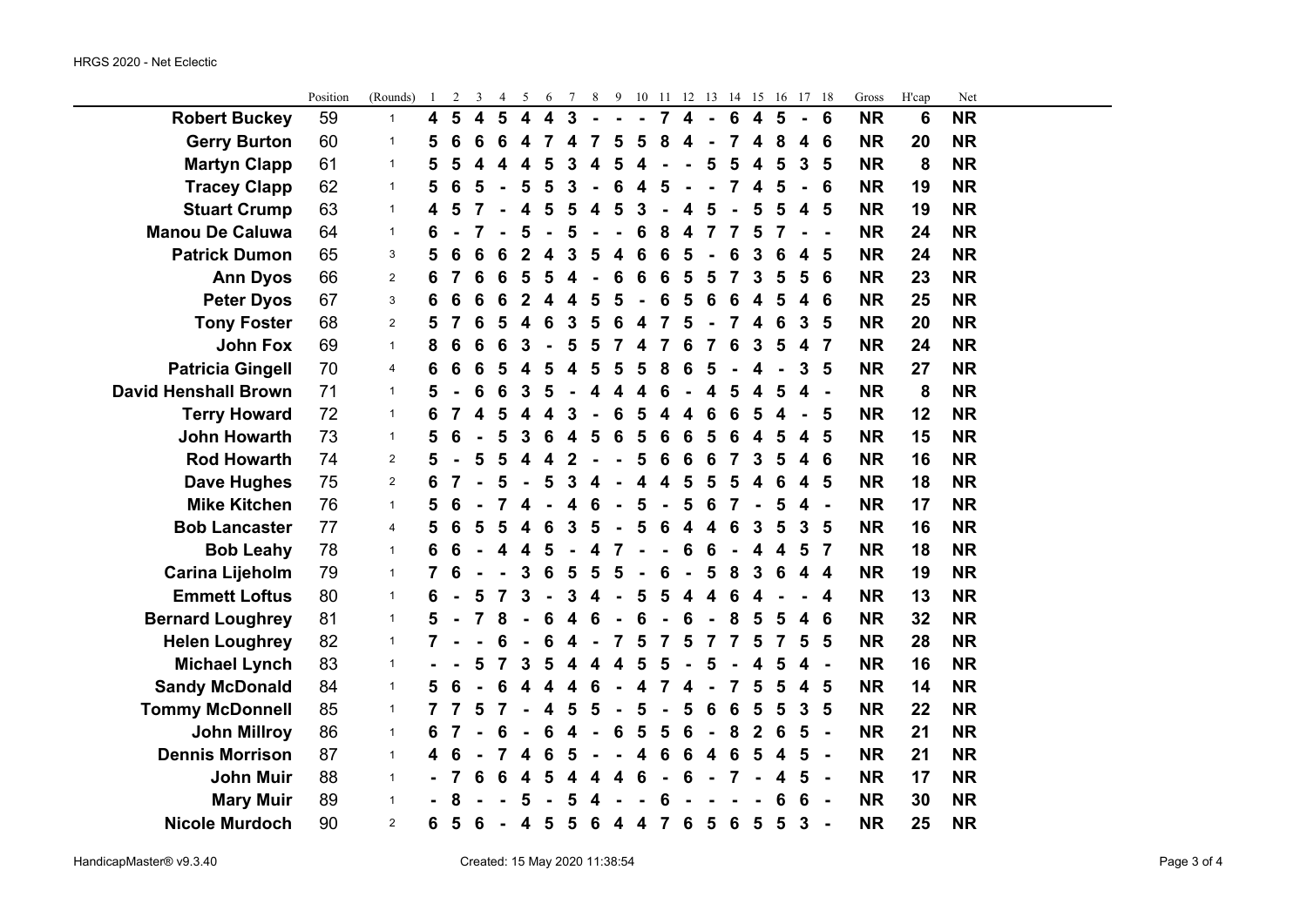$\sim$ 

|                             | Position | (Rounds)       | $\mathbf{1}$ | 2 | 3 | 4 | 5                       | 6                       | 7                       | 8                | 9                       |                         | 10 11 12 13 14 15 |                         |                         |                |                         | 16             | 17                      | - 18                     | Gross     | H'cap           | Net       |  |
|-----------------------------|----------|----------------|--------------|---|---|---|-------------------------|-------------------------|-------------------------|------------------|-------------------------|-------------------------|-------------------|-------------------------|-------------------------|----------------|-------------------------|----------------|-------------------------|--------------------------|-----------|-----------------|-----------|--|
| <b>Robert Buckey</b>        | 59       | $\mathbf{1}$   | 4            | 5 | 4 | 5 | $\overline{\mathbf{4}}$ | $\overline{\mathbf{4}}$ | $\overline{3}$          | $\overline{a}$   |                         | $\blacksquare$          | $\overline{7}$    | $\overline{\mathbf{4}}$ | $\blacksquare$          | $6\phantom{1}$ | $\overline{\mathbf{4}}$ | $5\phantom{1}$ | $\blacksquare$          | 6                        | <b>NR</b> | $6\phantom{1}6$ | <b>NR</b> |  |
| <b>Gerry Burton</b>         | 60       | $\mathbf{1}$   | 5            | 6 | 6 | 6 | 4                       | 7                       | 4                       | 7                | 5                       | 5                       | 8                 | 4                       |                         | 7              | 4                       | 8              | 4                       | 6                        | <b>NR</b> | 20              | <b>NR</b> |  |
| <b>Martyn Clapp</b>         | 61       | $\mathbf{1}$   | 5            | 5 | 4 | 4 | 4                       | 5                       | 3                       | 4                | 5                       | 4                       |                   |                         | 5                       | 5              | 4                       | 5              | 3                       | 5                        | <b>NR</b> | 8               | <b>NR</b> |  |
| <b>Tracey Clapp</b>         | 62       | $\mathbf{1}$   | 5            | 6 | 5 |   | 5                       | 5                       | 3                       | $\blacksquare$   | 6                       | 4                       | 5                 |                         |                         | $\overline{7}$ | 4                       | 5              |                         | 6                        | <b>NR</b> | 19              | <b>NR</b> |  |
| <b>Stuart Crump</b>         | 63       | $\mathbf{1}$   | 4            | 5 |   |   | 4                       | 5                       | 5                       | 4                | $5\phantom{1}$          | $\mathbf{3}$            | $\blacksquare$    | 4                       | 5                       |                | 5                       | 5              | 4                       | $5\phantom{1}$           | <b>NR</b> | 19              | <b>NR</b> |  |
| <b>Manou De Caluwa</b>      | 64       | $\mathbf{1}$   | 6            |   |   |   | 5                       |                         | 5                       |                  | L,                      | 6                       | 8                 | $\overline{\mathbf{4}}$ | $\overline{7}$          | 7              | 5                       | 7              |                         |                          | <b>NR</b> | 24              | <b>NR</b> |  |
| <b>Patrick Dumon</b>        | 65       | 3              | 5            | 6 | 6 | 6 | 2                       | 4                       | 3                       | 5                | 4                       | 6                       | 6                 | 5                       |                         | 6              | 3                       | 6              | 4                       | 5                        | <b>NR</b> | 24              | <b>NR</b> |  |
| <b>Ann Dyos</b>             | 66       | $\overline{2}$ | 6            |   | 6 | 6 | 5                       | 5                       | 4                       |                  | 6                       | 6                       | 6                 | 5                       | 5                       | 7              | 3                       | 5              | 5                       | $6\phantom{1}6$          | <b>NR</b> | 23              | <b>NR</b> |  |
| <b>Peter Dyos</b>           | 67       | 3              | 6            | 6 | 6 | 6 | $\mathbf 2$             | 4                       | 4                       | 5                | 5                       |                         | 6                 | 5                       | 6                       | 6              | 4                       | 5              | 4                       | 6                        | <b>NR</b> | 25              | <b>NR</b> |  |
| <b>Tony Foster</b>          | 68       | $\overline{2}$ | 5            |   | 6 | 5 | 4                       | 6                       | 3                       | 5                | 6                       | 4                       | 7                 | 5                       |                         | 7              | 4                       | 6              | 3                       | 5                        | <b>NR</b> | 20              | <b>NR</b> |  |
| <b>John Fox</b>             | 69       | $\mathbf{1}$   | 8            | 6 | 6 | 6 | 3                       |                         | 5                       | 5                | $\overline{7}$          | 4                       | $\overline{7}$    | 6                       | $\overline{7}$          | 6              | 3                       | 5              | 4                       | $\overline{7}$           | <b>NR</b> | 24              | <b>NR</b> |  |
| <b>Patricia Gingell</b>     | 70       | 4              | 6            | 6 | 6 | 5 | 4                       | 5                       | 4                       | 5                | $\overline{\mathbf{5}}$ | 5                       | 8                 | 6                       | 5                       |                | 4                       |                | 3                       | $5\phantom{1}$           | <b>NR</b> | 27              | <b>NR</b> |  |
| <b>David Henshall Brown</b> | 71       | $\mathbf{1}$   | 5            |   |   | 6 | 3                       | 5                       |                         | 4                | $\overline{\mathbf{4}}$ | 4                       | 6                 |                         | 4                       | 5              | 4                       | 5              | 4                       | $\overline{a}$           | <b>NR</b> | 8               | <b>NR</b> |  |
| <b>Terry Howard</b>         | 72       | $\mathbf{1}$   | 6            | 7 | 4 | 5 | 4                       |                         | 3                       |                  | 6                       | 5                       | 4                 | 4                       | 6                       | 6              | 5                       | 4              |                         | 5                        | <b>NR</b> | 12              | <b>NR</b> |  |
| <b>John Howarth</b>         | 73       | $\mathbf{1}$   | 5            | 6 |   | 5 | 3                       | 6                       | 4                       | 5                | 6                       | 5                       | 6                 | $6\phantom{1}6$         | 5                       | 6              | 4                       | 5              | 4                       | $5\phantom{1}$           | <b>NR</b> | 15              | <b>NR</b> |  |
| <b>Rod Howarth</b>          | 74       | $\overline{2}$ | 5            |   | 5 | 5 | 4                       | $\boldsymbol{4}$        | $\overline{2}$          |                  |                         | 5                       | 6                 | 6                       | 6                       | 7              | 3                       | 5              | 4                       | 6                        | <b>NR</b> | 16              | <b>NR</b> |  |
| <b>Dave Hughes</b>          | 75       | 2              | 6            |   |   | 5 |                         | 5                       | 3                       | 4                |                         | 4                       | 4                 | $5\phantom{1}$          | 5                       | 5              | 4                       | 6              | 4                       | 5                        | <b>NR</b> | 18              | <b>NR</b> |  |
| <b>Mike Kitchen</b>         | 76       | $\mathbf{1}$   | 5            | 6 |   |   | 4                       |                         | 4                       | $6\phantom{1}6$  | $\blacksquare$          | 5                       | $\blacksquare$    | 5                       | $6\phantom{1}6$         | $\overline{7}$ | $\blacksquare$          | 5              | 4                       | $\blacksquare$           | <b>NR</b> | 17              | <b>NR</b> |  |
| <b>Bob Lancaster</b>        | 77       | 4              | 5            | 6 | 5 | 5 | 4                       | $6\phantom{1}6$         | $\mathbf{3}$            | 5                | $\blacksquare$          | 5                       | $6\phantom{1}6$   | $\overline{\mathbf{4}}$ | $\overline{\mathbf{4}}$ | 6              | 3                       | 5              | 3                       | $5\phantom{1}$           | <b>NR</b> | 16              | <b>NR</b> |  |
| <b>Bob Leahy</b>            | 78       | $\mathbf{1}$   | 6            | 6 |   | 4 | 4                       | 5                       |                         | 4                | 7                       |                         |                   | 6                       | 6                       |                | 4                       | 4              | 5                       | $\overline{7}$           | <b>NR</b> | 18              | <b>NR</b> |  |
| <b>Carina Lijeholm</b>      | 79       | $\mathbf{1}$   | 7            |   |   |   | 3                       | 6                       | 5                       | 5                | 5                       | $\blacksquare$          | 6                 | ä,                      | 5                       | 8              | 3                       | 6              | 4                       | 4                        | <b>NR</b> | 19              | <b>NR</b> |  |
| <b>Emmett Loftus</b>        | 80       | $\mathbf{1}$   | 6            |   |   |   | 3                       |                         | 3                       | 4                | $\blacksquare$          | 5                       | 5                 | 4                       | $\overline{\mathbf{4}}$ | 6              | 4                       |                |                         | 4                        | <b>NR</b> | 13              | <b>NR</b> |  |
| <b>Bernard Loughrey</b>     | 81       | $\mathbf{1}$   | 5            |   |   | 8 |                         | 6                       | 4                       | 6                |                         | 6                       |                   | 6                       |                         | 8              | 5                       | 5              | 4                       | 6                        | <b>NR</b> | 32              | <b>NR</b> |  |
| <b>Helen Loughrey</b>       | 82       | $\mathbf{1}$   | 7            |   |   | 6 |                         | 6                       | 4                       | $\blacksquare$   | $\overline{7}$          | 5                       | $\overline{7}$    | 5                       | $\overline{7}$          | 7              | 5                       | 7              | 5                       | 5                        | <b>NR</b> | 28              | <b>NR</b> |  |
| <b>Michael Lynch</b>        | 83       | $\mathbf{1}$   |              |   | 5 | 7 | 3                       | 5                       | $\overline{\mathbf{4}}$ | $\boldsymbol{4}$ | $\boldsymbol{4}$        | 5                       | 5                 | $\blacksquare$          | 5                       |                | 4                       | 5              | 4                       | $\blacksquare$           | <b>NR</b> | 16              | <b>NR</b> |  |
| <b>Sandy McDonald</b>       | 84       | $\mathbf{1}$   | 5            | 6 |   | 6 | 4                       | 4                       | 4                       | 6                | $\blacksquare$          | 4                       | 7                 | 4                       |                         | $\overline{7}$ | 5                       | 5              | $\overline{\mathbf{4}}$ | $5\phantom{1}$           | <b>NR</b> | 14              | <b>NR</b> |  |
| <b>Tommy McDonnell</b>      | 85       | $\mathbf{1}$   |              |   | 5 |   |                         | 4                       | 5                       | 5                | $\blacksquare$          | 5                       | $\blacksquare$    | 5                       | 6                       | 6              | 5                       | 5              | 3                       | 5                        | <b>NR</b> | 22              | <b>NR</b> |  |
| <b>John Millroy</b>         | 86       | $\mathbf{1}$   | 6            |   |   | 6 |                         | 6                       | 4                       |                  | 6                       | 5                       | 5                 | 6                       | $\blacksquare$          | 8              | $\overline{2}$          | 6              | 5                       | $\blacksquare$           | <b>NR</b> | 21              | <b>NR</b> |  |
| <b>Dennis Morrison</b>      | 87       | $\mathbf{1}$   | 4            | 6 |   |   | 4                       | 6                       | 5                       |                  |                         | $\overline{\mathbf{4}}$ | 6                 | $6\phantom{1}$          | $\overline{\mathbf{4}}$ | 6              | 5                       | 4              | 5                       | $\overline{\phantom{a}}$ | <b>NR</b> | 21              | <b>NR</b> |  |
| <b>John Muir</b>            | 88       | $\mathbf{1}$   |              |   | 6 | 6 | 4                       | 5                       | 4                       | 4                | 4                       | 6                       | $\blacksquare$    | 6                       |                         | $\overline{7}$ |                         | 4              | 5                       | $\blacksquare$           | <b>NR</b> | 17              | <b>NR</b> |  |
| <b>Mary Muir</b>            | 89       | $\mathbf{1}$   |              | 8 |   |   | 5                       |                         | 5                       | 4                |                         |                         | 6                 |                         |                         |                |                         | 6              | 6                       | $\blacksquare$           | <b>NR</b> | 30              | <b>NR</b> |  |
| <b>Nicole Murdoch</b>       | 90       | $\overline{2}$ | 6            | 5 | 6 |   | $\overline{\mathbf{4}}$ | 5                       | $5\phantom{1}$          | $6\phantom{1}6$  | $\overline{4}$          | $\overline{\mathbf{4}}$ | $\overline{7}$    | 6                       | $5\phantom{1}$          | 6              | 5                       | 5              | 3                       | ÷,                       | <b>NR</b> | 25              | <b>NR</b> |  |